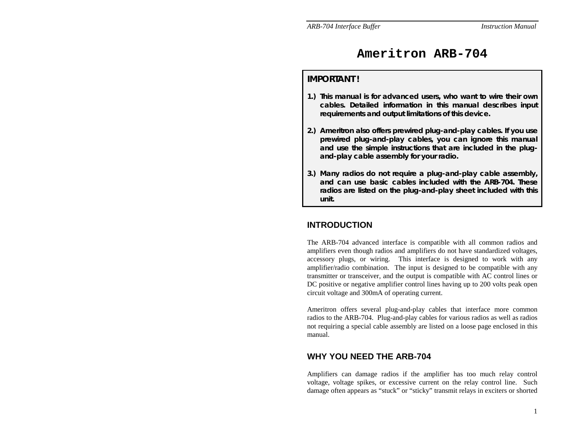# **Ameritron ARB-704**

### **IMPORTANT !**

- **1.) This manual is for advanced users, who want to wire their own cables. Detailed information in this manual describes input requirements and output limitations of this device.**
- **2.) Ameritron also offers prewired plug-and-play cables. If you use prewired plug-and-play cables, you can ignore this manual and use the simple instructions that are included in the plugand-play cable assembly for your radio.**
- **3.) Many radios do not require a plug-and-play cable assembly, and can use basic cables included with the ARB-704. These radios are listed on the plug-and-play sheet included with this unit.**

# **INTRODUCTION**

The ARB-704 advanced interface is compatible with all common radios and amplifiers even though radios and amplifiers do not have standardized voltages, accessory plugs, or wiring. This interface is designed to work with any amplifier/radio combination. The input is designed to be compatible with any transmitter or transceiver, and the output is compatible with AC control lines or DC positive or negative amplifier control lines having up to 200 volts peak open circuit voltage and 300mA of operating current.

Ameritron offers several plug-and-play cables that interface more common radios to the ARB-704. Plug-and-play cables for various radios as well as radios not requiring a special cable assembly are listed on a loose page enclosed in this manual.

## **WHY YOU NEED THE ARB-704**

Amplifiers can damage radios if the amplifier has too much relay control voltage, voltage spikes, or excessive current on the relay control line. Such damage often appears as "stuck" or "sticky" transmit relays in exciters or shorted

1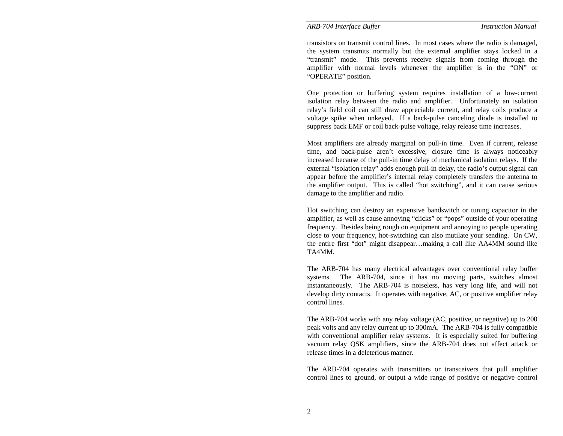transistors on transmit control lines. In most cases where the radio is damaged, the system transmits normally but the external amplifier stays locked in a "transmit" mode. This prevents receive signals from coming through the amplifier with normal levels whenever the amplifier is in the "ON" or "OPERATE" position.

One protection or buffering system requires installation of a low-current isolation relay between the radio and amplifier. Unfortunately an isolation relay's field coil can still draw appreciable current, and relay coils produce a voltage spike when unkeyed. If a back-pulse canceling diode is installed to suppress back EMF or coil back-pulse voltage, relay release time increases.

Most amplifiers are already marginal on pull-in time. Even if current, release time, and back-pulse aren't excessive, closure time is always noticeably increased because of the pull-in time delay of mechanical isolation relays. If the external "isolation relay" adds enough pull-in delay, the radio's output signal can appear before the amplifier's internal relay completely transfers the antenna to the amplifier output. This is called "hot switching", and it can cause serious damage to the amplifier and radio.

Hot switching can destroy an expensive bandswitch or tuning capacitor in the amplifier, as well as cause annoying "clicks" or "pops" outside of your operating frequency. Besides being rough on equipment and annoying to people operating close to your frequency, hot-switching can also mutilate your sending. On CW, the entire first "dot" might disappear…making a call like AA4MM sound like TA4MM.

The ARB-704 has many electrical advantages over conventional relay buffer systems. The ARB-704, since it has no moving parts, switches almost instantaneously. The ARB-704 is noiseless, has very long life, and will not develop dirty contacts. It operates with negative, AC, or positive amplifier relay control lines.

The ARB-704 works with any relay voltage (AC, positive, or negative) up to 200 peak volts and any relay current up to 300mA. The ARB-704 is fully compatible with conventional amplifier relay systems. It is especially suited for buffering vacuum relay QSK amplifiers, since the ARB-704 does not affect attack or release times in a deleterious manner.

The ARB-704 operates with transmitters or transceivers that pull amplifier control lines to ground, or output a wide range of positive or negative control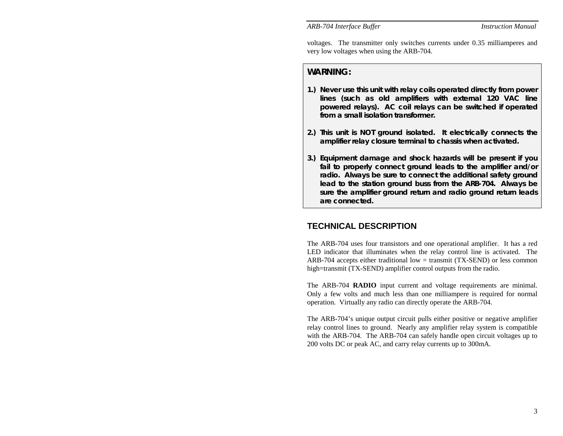voltages. The transmitter only switches currents under 0.35 milliamperes and very low voltages when using the ARB-704.

### **WARNING:**

- **1.) Never use this unit with relay coils operated directly from power lines (such as old amplifiers with external 120 VAC line powered relays). AC coil relays can be switched if operated from a small isolation transformer.**
- **2.) This unit is NOT ground isolated. It electrically connects the amplifier relay closure terminal to chassis when activated.**
- **3.) Equipment damage and shock hazards will be present if you fail to properly connect ground leads to the amplifier and/or radio. Always be sure to connect the additional safety ground lead to the station ground buss from the ARB-704. Always be sure the amplifier ground return and radio ground return leads are connected.**

# **TECHNICAL DESCRIPTION**

The ARB-704 uses four transistors and one operational amplifier. It has a red LED indicator that illuminates when the relay control line is activated. The ARB-704 accepts either traditional low  $=$  transmit (TX-SEND) or less common high=transmit (TX-SEND) amplifier control outputs from the radio.

The ARB-704 **RADIO** input current and voltage requirements are minimal. Only a few volts and much less than one milliampere is required for normal operation. Virtually any radio can directly operate the ARB-704.

The ARB-704's unique output circuit pulls either positive or negative amplifier relay control lines to ground. Nearly any amplifier relay system is compatible with the ARB-704. The ARB-704 can safely handle open circuit voltages up to 200 volts DC or peak AC, and carry relay currents up to 300mA.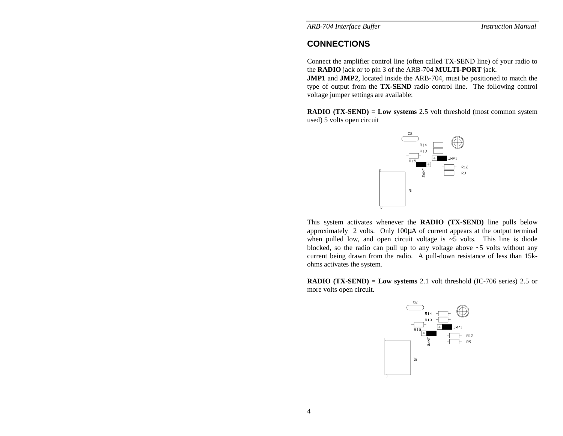# **CONNECTIONS**

Connect the amplifier control line (often called TX-SEND line) of your radio to the **RADIO** jack or to pin 3 of the ARB-704 **MULTI-PORT** jack.

**JMP1** and **JMP2**, located inside the ARB-704, must be positioned to match the type of output from the **TX-SEND** radio control line. The following control voltage jumper settings are available:

**RADIO (TX-SEND) = Low systems** 2.5 volt threshold (most common system used) 5 volts open circuit



This system activates whenever the **RADIO (TX-SEND)** line pulls below approximately 2 volts. Only 100 µA of current appears at the output terminal when pulled low, and open circuit voltage is  $\sim$  5 volts. This line is diode blocked, so the radio can pull up to any voltage above ~5 volts without any current being drawn from the radio. A pull-down resistance of less than 15kohms activates the system.

**RADIO (TX-SEND) = Low systems** 2.1 volt threshold (IC-706 series) 2.5 or more volts open circuit.

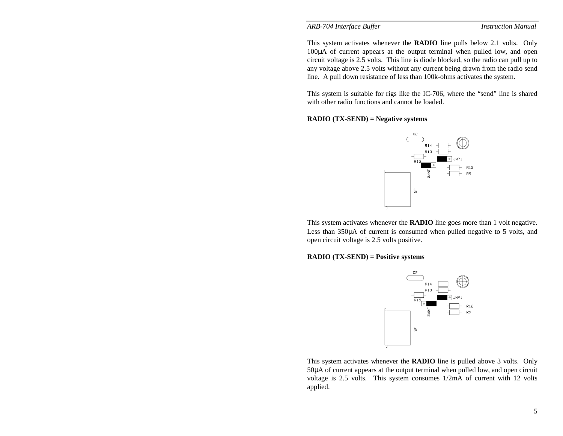This system activates whenever the **RADIO** line pulls below 2.1 volts. Only 100 µA of current appears at the output terminal when pulled low, and open circuit voltage is 2.5 volts. This line is diode blocked, so the radio can pull up to any voltage above 2.5 volts without any current being drawn from the radio send line. A pull down resistance of less than 100k-ohms activates the system.

This system is suitable for rigs like the IC-706, where the "send" line is shared with other radio functions and cannot be loaded.

#### **RADIO (TX-SEND) = Negative systems**



This system activates whenever the **RADIO** line goes more than 1 volt negative. Less than 350µA of current is consumed when pulled negative to 5 volts, and open circuit voltage is 2.5 volts positive.

#### **RADIO (TX-SEND) = Positive systems**



This system activates whenever the **RADIO** line is pulled above 3 volts. Only 50 µA of current appears at the output terminal when pulled low, and open circuit voltage is 2.5 volts. This system consumes 1/2mA of current with 12 volts applied.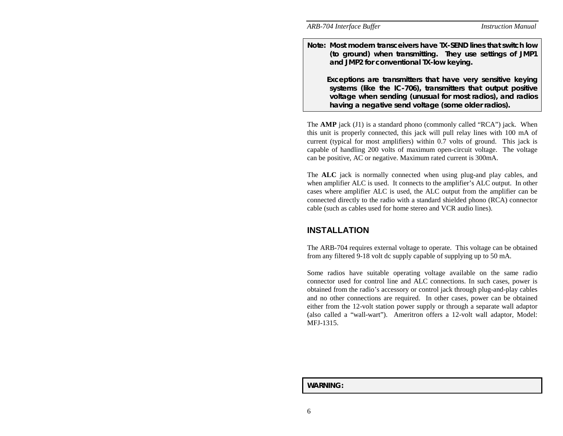**Note: Most modern transceivers have TX-SEND lines that switch low (to ground) when transmitting. They use settings of JMP1 and JMP2 for conventional TX-low keying.** 

 **Exceptions are transmitters that have very sensitive keying systems (like the IC-706), transmitters that output positive voltage when sending (unusual for most radios), and radios having a negative send voltage (some older radios).** 

The **AMP** jack (J1) is a standard phono (commonly called "RCA") jack. When this unit is properly connected, this jack will pull relay lines with 100 mA of current (typical for most amplifiers) within 0.7 volts of ground. This jack is capable of handling 200 volts of maximum open-circuit voltage. The voltage can be positive, AC or negative. Maximum rated current is 300mA.

The **ALC** jack is normally connected when using plug-and play cables, and when amplifier ALC is used. It connects to the amplifier's ALC output. In other cases where amplifier ALC is used, the ALC output from the amplifier can be connected directly to the radio with a standard shielded phono (RCA) connector cable (such as cables used for home stereo and VCR audio lines).

## **INSTALLATION**

The ARB-704 requires external voltage to operate. This voltage can be obtained from any filtered 9-18 volt dc supply capable of supplying up to 50 mA.

Some radios have suitable operating voltage available on the same radio connector used for control line and ALC connections. In such cases, power is obtained from the radio's accessory or control jack through plug-and-play cables and no other connections are required. In other cases, power can be obtained either from the 12-volt station power supply or through a separate wall adaptor (also called a "wall-wart"). Ameritron offers a 12-volt wall adaptor, Model: MFJ-1315.

### **WARNING:**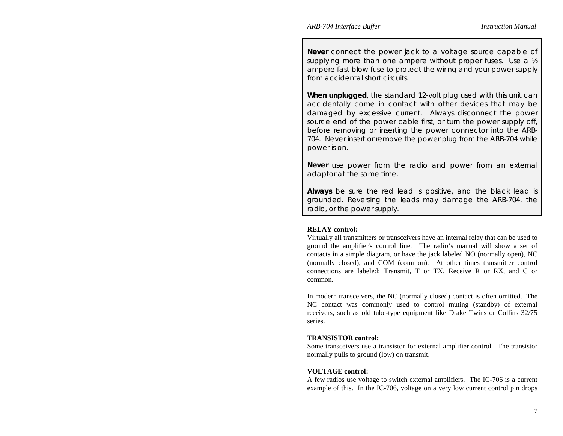**Never** connect the power jack to a voltage source capable of supplying more than one ampere without proper fuses. Use a  $\frac{1}{2}$ ampere fast-blow fuse to protect the wiring and your power supply from accidental short circuits.

**When unplugged**, the standard 12-volt plug used with this unit can accidentally come in contact with other devices that may be damaged by excessive current. Always disconnect the power source end of the power cable first, or turn the power supply off, before removing or inserting the power connector into the ARB-704. Never insert or remove the power plug from the ARB-704 while power is on.

**Never** use power from the radio and power from an external adaptor at the same time.

**Always** be sure the red lead is positive, and the black lead is grounded. Reversing the leads may damage the ARB-704, the radio, or the power supply.

### **RELAY control:**

Virtually all transmitters or transceivers have an internal relay that can be used to ground the amplifier's control line. The radio's manual will show a set of contacts in a simple diagram, or have the jack labeled NO (normally open), NC (normally closed), and COM (common). At other times transmitter control connections are labeled: Transmit, T or TX, Receive R or RX, and C or common.

In modern transceivers, the NC (normally closed) contact is often omitted. The NC contact was commonly used to control muting (standby) of external receivers, such as old tube-type equipment like Drake Twins or Collins 32/75 series.

### **TRANSISTOR control:**

Some transceivers use a transistor for external amplifier control. The transistor normally pulls to ground (low) on transmit.

### **VOLTAGE control:**

A few radios use voltage to switch external amplifiers. The IC-706 is a current example of this. In the IC-706, voltage on a very low current control pin drops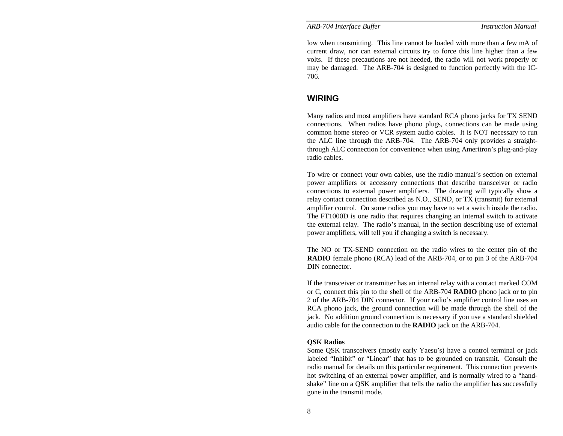low when transmitting. This line cannot be loaded with more than a few mA of current draw, nor can external circuits try to force this line higher than a few volts. If these precautions are not heeded, the radio will not work properly or may be damaged. The ARB-704 is designed to function perfectly with the IC-706.

### **WIRING**

Many radios and most amplifiers have standard RCA phono jacks for TX SEND connections. When radios have phono plugs, connections can be made using common home stereo or VCR system audio cables. It is NOT necessary to run the ALC line through the ARB-704. The ARB-704 only provides a straightthrough ALC connection for convenience when using Ameritron's plug-and-play radio cables.

To wire or connect your own cables, use the radio manual's section on external power amplifiers or accessory connections that describe transceiver or radio connections to external power amplifiers. The drawing will typically show a relay contact connection described as N.O., SEND, or TX (transmit) for external amplifier control. On some radios you may have to set a switch inside the radio. The FT1000D is one radio that requires changing an internal switch to activate the external relay. The radio's manual, in the section describing use of external power amplifiers, will tell you if changing a switch is necessary.

The NO or TX-SEND connection on the radio wires to the center pin of the **RADIO** female phono (RCA) lead of the ARB-704, or to pin 3 of the ARB-704 DIN connector.

If the transceiver or transmitter has an internal relay with a contact marked COM or C, connect this pin to the shell of the ARB-704 **RADIO** phono jack or to pin 2 of the ARB-704 DIN connector. If your radio's amplifier control line uses an RCA phono jack, the ground connection will be made through the shell of the jack. No addition ground connection is necessary if you use a standard shielded audio cable for the connection to the **RADIO** jack on the ARB-704.

#### **QSK Radios**

Some QSK transceivers (mostly early Yaesu's) have a control terminal or jack labeled "Inhibit" or "Linear" that has to be grounded on transmit. Consult the radio manual for details on this particular requirement. This connection prevents hot switching of an external power amplifier, and is normally wired to a "handshake" line on a QSK amplifier that tells the radio the amplifier has successfully gone in the transmit mode.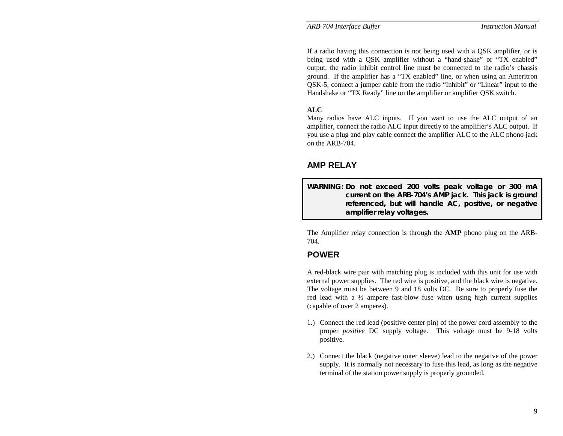If a radio having this connection is not being used with a QSK amplifier, or is being used with a QSK amplifier without a "hand-shake" or "TX enabled" output, the radio inhibit control line must be connected to the radio's chassis ground. If the amplifier has a "TX enabled" line, or when using an Ameritron QSK-5, connect a jumper cable from the radio "Inhibit" or "Linear" input to the Handshake or "TX Ready" line on the amplifier or amplifier QSK switch.

### **ALC**

Many radios have ALC inputs. If you want to use the ALC output of an amplifier, connect the radio ALC input directly to the amplifier's ALC output. If you use a plug and play cable connect the amplifier ALC to the ALC phono jack on the ARB-704.

## **AMP RELAY**

**WARNING: Do not exceed 200 volts peak voltage or 300 mA current on the ARB-704's AMP jack. This jack is ground referenced, but will handle AC, positive, or negative amplifier relay voltages.** 

The Amplifier relay connection is through the **AMP** phono plug on the ARB-704.

## **POWER**

A red-black wire pair with matching plug is included with this unit for use with external power supplies. The red wire is positive, and the black wire is negative. The voltage must be between 9 and 18 volts DC. Be sure to properly fuse the red lead with a  $\frac{1}{2}$  ampere fast-blow fuse when using high current supplies (capable of over 2 amperes).

- 1.) Connect the red lead (positive center pin) of the power cord assembly to the proper *positive* DC supply voltage. This voltage must be 9-18 volts positive.
- 2.) Connect the black (negative outer sleeve) lead to the negative of the power supply. It is normally not necessary to fuse this lead, as long as the negative terminal of the station power supply is properly grounded.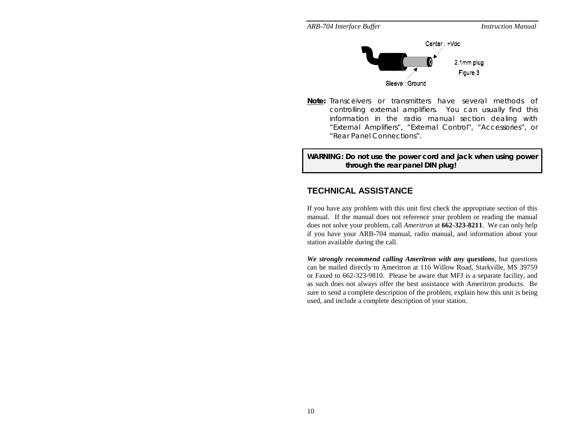



**Note:** Transceivers or transmitters have several methods of controlling external amplifiers. You can usually find this information in the radio manual section dealing with "External Amplifiers", "External Control", "Accessories", or "Rear Panel Connections".

**WARNING: Do not use the power cord and jack when using power through the rear panel DIN plug!** 

# **TECHNICAL ASSISTANCE**

If you have any problem with this unit first check the appropriate section of this manual. If the manual does not reference your problem or reading the manual does not solve your problem, call *Ameritron* at **662-323-8211**. We can only help if you have your ARB-704 manual, radio manual, and information about your station available during the call.

*We strongly recommend calling Ameritron with any questions*, but questions can be mailed directly to Ameritron at 116 Willow Road, Starkville, MS 39759 or Faxed to 662-323-9810. Please be aware that MFJ is a separate facility, and as such does not always offer the best assistance with Ameritron products. Be sure to send a complete description of the problem, explain how this unit is being used, and include a complete description of your station.